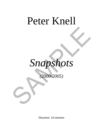# Peter Knell

# Snapshots *Snapshots*

*(2000-2005)* 

Duration: 24 minutes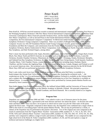### Peter Knell

838 S. Arroyo Blvd. Pasadena, CA 91105 tel: +1.323.687.1870 www.peterknell.com

### **Biography**

**EXAMPLE 10:** 1970) has received numerous uswards in antional and international competitions, including First Prizes in<br>Unimpige Symphory Orchestra's 10th New Music Festival International Composes Competition, the Indiana Peter Knell (b. 1970) has received numerous awards in national and international competitions, including First Prizes in the Winnipeg Symphony Orchestra's 10th New Music Festival International Composers Competition, the Indiana State University Contemporary Music Festival/Louisville Orchestra Prize, and the Omaha Symphony Guild International New Music Competition, as well as Second Prizes in the Fourth International Witold Lutoslawski Composers Competition, the First International Composers' Competition *"In Memoriam Zoltán Kodály"*, and the Cincinnati Symphony Orchestra's Young Composers Competition. Peter was awarded a Fulbright Fellowship, a BMI Student Composer Award, two ASCAP Foundation Morton Gould Young Composers Awards, grants from the Paloheimo Foundation and Meet the Composer, and commissions from the Fromm Music Foundation/Ying Quartet, Winnipeg Symphony Orchestra, Barlow Endowment for Music Composition, Utah Arts Festival, Pacific Serenades, Oakland East Bay Symphony, and Dale Warland Singers, among others.

Peter's music has been performed at the Aspen, Bowdoin, Chautauqua, June in Buffalo, Norfolk, Oregon Bach, Ernest Bloch, New Music North and MATA festivals, by ensembles such as the Hungarian Radio Orchestra, Louisville Orchestra, Kremlin Chamber Orchestra, Filharmonia de Stat "Transilvania", Winnipeg, Omaha, Richmond, Memphis, and Oakland East Bay Symphony Orchestras, the Doric String Quartet, Onyx String Quartet, Verdi Quartett, Southwest Chamber Music, Volti Chamber Chorus, counter)induction, and by soloists including James Dunham, Martin Chalifour, and the German alto Ingeborg Danz. It has been broadcast in Russia, Canada, Hungary and Finland, as well as in several American cities. His orchestral work *LINES/ANGLES* was the American selection for the ISCM World Music Days 2009 and was performed in September 2009 by the Swedish Radio Symphony Orchestra.

Peter's solo violin work *Seven Last Words*, based on paintings of German artist Rolf Stein, is available in a book/compact disc format from Valve-Hearts, Cologne. A compact disc featuring his orchestral work, *"...the weakening eye of day"* in a live performance by the Budapest Symphony Orchestra is available on the Artisjus label, and a compact disc featuring German pianist Susanne Kessel performing two of his *Four Snapshots* is available on OehmsClassics. A compact disc of Peter's complete piano music performed by German pianist Markus Pawlik was released by Sono Luminus in January 2013.

Peter holds degrees from Princeton University (BA), the Juilliard School (MM), and the University of Texas at Austin (DMA), and he was a Fulbright Fellow at the Sibelius Academy in Helsinki, Finland. His principal composition teachers have included Dan Welcher, Donald Grantham, and David Diamond. He is currently based in Los Angeles.

### **Program Note**

*Snapshots* was composed between 2000 and 2005. I was asked to write a set of character pieces for the piano. Searching for a unifying theme, I gravitated to the most obvious and basic fact about the piano – its division into white notes and black notes. Thus was born a set of pieces in which each in some way pits the white notes of the piano against the black notes. Originally composed in three distinct sets, the *Snapshots* were combined into a larger whole in 2009 as the result of a recording project with the pianist Markus Pawlik. The set may be performed as a whole, or subsets of the *Snapshots* may be performed at the pianist's discretion. Two of the original sets were composed as the result of commissions from the Virginia Music Teachers' Association (2000, numbers IV, V, VII, X, XI, XIV, XVI, XVIII, XIX) and California Music Teachers' Association (2005, numbers VI, VIII, XII, XIII, XV, XVII, XX, XI, XII), and they were composed to address a range of styles and technical challenges. The middle set was composed for the high school level of the Renee B. Fisher Competition (2003, numbers I, II, III, and IX) and explores a range of technical and musical challenges at a higher level.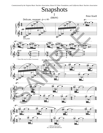

ALL RIGHTS RESERVED.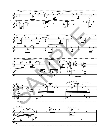







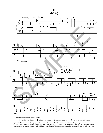



In general, white clusters should be played with the palm of the hand and black clusters with the fingers, though the performer may use their discretion. The long white clusters should be played with the forearm and rolled downwards (as indicated). The notation is precise in terms of pitch, except for the forearm clusters, which will depend on the length of the pianist's arm. Generally, they should lead to the following notes.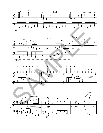





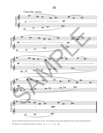

This piece should be played freely and with no sense of pulse. Note durations are approximate, though their relative positions should be observed.

Note duarions are as follows (from shortest to longerst):  $\bullet \quad \circ \quad \circ \quad \bullet \quad \bullet \quad \bullet \quad \bullet$ 

III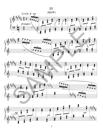







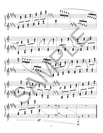







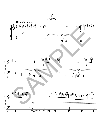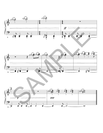



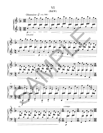











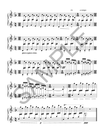







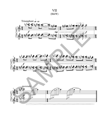





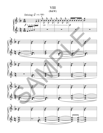











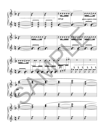







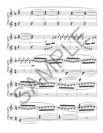







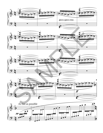







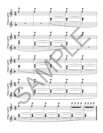







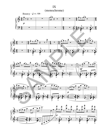IX (monochrome)









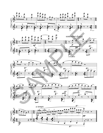







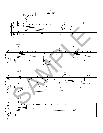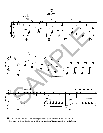





 $\blacksquare$  = low diatonic or pentatonic cluster, depending on the key signature for the clef (lowest possible notes). \* These white-note clusters should be played with the heel of the hand. The black notes played with the fingers.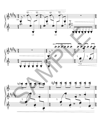



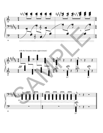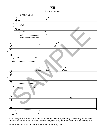XII (monochrome)

![](_page_25_Figure_1.jpeg)

\* The time signature of "0" indicates a free meter, with the notes arranged approximately proportionately (the performer should use their discretion and musicality in the exact timing of the notes). Each system should last approximately 15 sec.

\*\* This notation indicates a white-note cluster spanning the indicated pitches.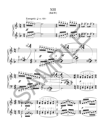XIII  $(B\&W)$ 

![](_page_26_Figure_1.jpeg)

![](_page_26_Figure_2.jpeg)

![](_page_26_Figure_3.jpeg)

![](_page_26_Figure_4.jpeg)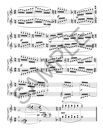![](_page_27_Figure_0.jpeg)

![](_page_27_Figure_1.jpeg)

![](_page_27_Figure_2.jpeg)

![](_page_27_Figure_3.jpeg)

![](_page_27_Figure_4.jpeg)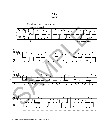![](_page_28_Figure_0.jpeg)

![](_page_28_Figure_1.jpeg)

![](_page_28_Figure_2.jpeg)

![](_page_28_Figure_3.jpeg)

\* Each measure should be felt as an independent unit.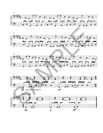![](_page_29_Figure_0.jpeg)

![](_page_29_Figure_1.jpeg)

![](_page_29_Figure_2.jpeg)

![](_page_29_Figure_3.jpeg)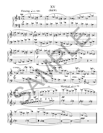![](_page_30_Figure_0.jpeg)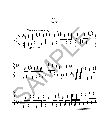![](_page_31_Figure_0.jpeg)

![](_page_31_Figure_1.jpeg)

![](_page_31_Figure_2.jpeg)

![](_page_31_Figure_3.jpeg)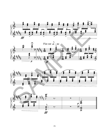![](_page_32_Figure_0.jpeg)

![](_page_32_Figure_1.jpeg)

![](_page_32_Figure_2.jpeg)

![](_page_32_Figure_3.jpeg)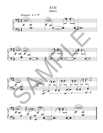![](_page_33_Figure_0.jpeg)

![](_page_33_Figure_1.jpeg)

![](_page_33_Figure_2.jpeg)

![](_page_33_Figure_3.jpeg)

![](_page_33_Figure_4.jpeg)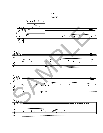XVIII (B&W)

![](_page_34_Figure_1.jpeg)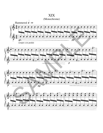XIX

(Monochrome)

![](_page_35_Figure_2.jpeg)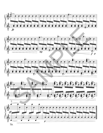![](_page_36_Figure_0.jpeg)

![](_page_36_Figure_1.jpeg)

![](_page_36_Figure_2.jpeg)

![](_page_36_Figure_3.jpeg)

![](_page_36_Figure_4.jpeg)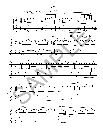![](_page_37_Figure_0.jpeg)

![](_page_37_Figure_1.jpeg)

![](_page_37_Figure_2.jpeg)

![](_page_37_Figure_3.jpeg)

![](_page_37_Figure_4.jpeg)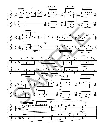![](_page_38_Figure_0.jpeg)

![](_page_38_Figure_1.jpeg)

![](_page_38_Figure_2.jpeg)

![](_page_38_Figure_3.jpeg)

![](_page_38_Figure_4.jpeg)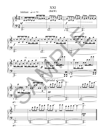![](_page_39_Figure_0.jpeg)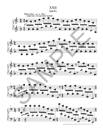## **XXII**

![](_page_40_Figure_1.jpeg)

![](_page_40_Figure_2.jpeg)

![](_page_40_Figure_3.jpeg)

![](_page_40_Figure_4.jpeg)

![](_page_40_Figure_5.jpeg)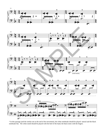![](_page_41_Figure_0.jpeg)

![](_page_41_Figure_1.jpeg)

![](_page_41_Figure_2.jpeg)

![](_page_41_Figure_3.jpeg)

![](_page_41_Figure_4.jpeg)

\* In this passage (and the similar one at the end of the movement), the white noteheads should be played natural and the black noteheads flat. The white noted should be played with the heel of the hand, the black notes with the fingers.